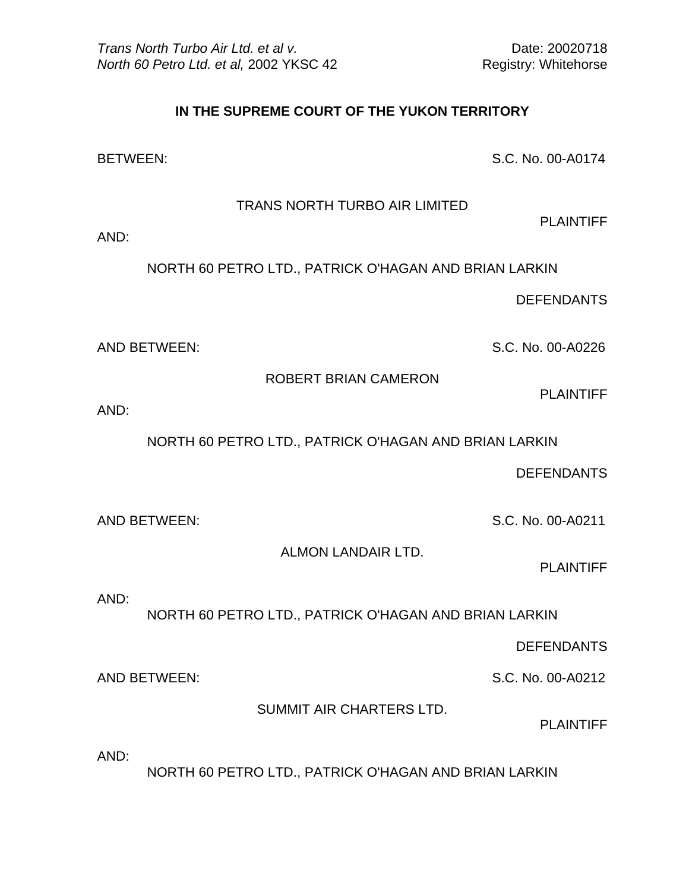## **IN THE SUPREME COURT OF THE YUKON TERRITORY**

BETWEEN: S.C. No. 00-A0174

TRANS NORTH TURBO AIR LIMITED

PLAINTIFF

AND:

NORTH 60 PETRO LTD., PATRICK O'HAGAN AND BRIAN LARKIN

DEFENDANTS

AND BETWEEN: S.C. No. 00-A0226

ROBERT BRIAN CAMERON

PLAINTIFF

AND:

NORTH 60 PETRO LTD., PATRICK O'HAGAN AND BRIAN LARKIN

DEFENDANTS

AND BETWEEN: S.C. No. 00-A0211

ALMON LANDAIR LTD.

PLAINTIFF

AND:

NORTH 60 PETRO LTD., PATRICK O'HAGAN AND BRIAN LARKIN

DEFENDANTS

AND BETWEEN: S.C. No. 00-A0212

SUMMIT AIR CHARTERS LTD.

PLAINTIFF

AND:

NORTH 60 PETRO LTD., PATRICK O'HAGAN AND BRIAN LARKIN